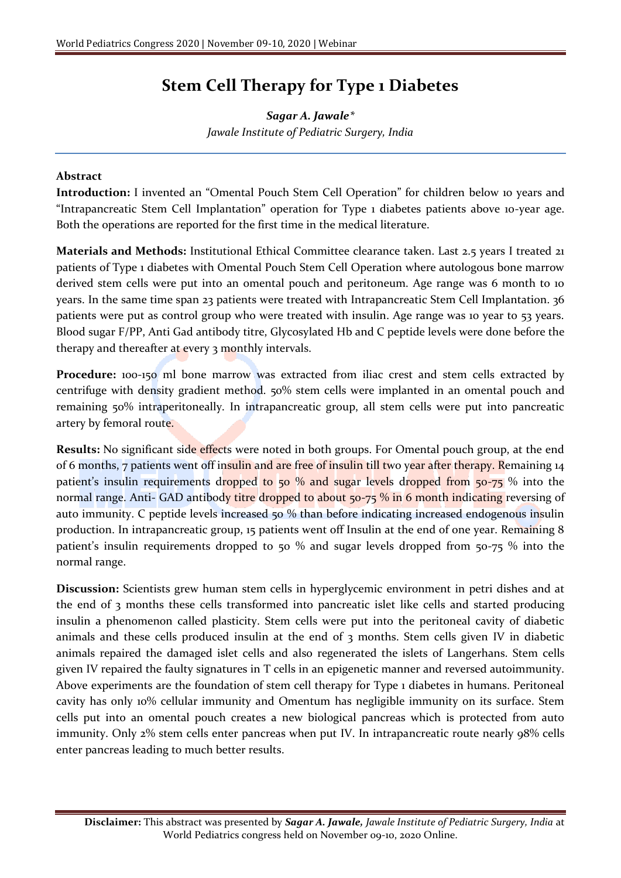## **Stem Cell Therapy for Type 1 Diabetes**

*Sagar A. Jawale\* Jawale Institute of Pediatric Surgery, India*

## **Abstract**

**Introduction:** I invented an "Omental Pouch Stem Cell Operation" for children below 10 years and "Intrapancreatic Stem Cell Implantation" operation for Type 1 diabetes patients above 10-year age. Both the operations are reported for the first time in the medical literature.

**Materials and Methods:** Institutional Ethical Committee clearance taken. Last 2.5 years I treated 21 patients of Type 1 diabetes with Omental Pouch Stem Cell Operation where autologous bone marrow derived stem cells were put into an omental pouch and peritoneum. Age range was 6 month to 10 years. In the same time span 23 patients were treated with Intrapancreatic Stem Cell Implantation. 36 patients were put as control group who were treated with insulin. Age range was 10 year to 53 years. Blood sugar F/PP, Anti Gad antibody titre, Glycosylated Hb and C peptide levels were done before the therapy and thereafter at every 3 monthly intervals.

Procedure: 100-150 ml bone marrow was extracted from iliac crest and stem cells extracted by centrifuge with density gradient method. 50% stem cells were implanted in an omental pouch and remaining 50% intraperitoneally. In intrapancreatic group, all stem cells were put into pancreatic artery by femoral route.

**Results:** No significant side effects were noted in both groups. For Omental pouch group, at the end of 6 months, 7 patients went off insulin and are free of insulin till two year after therapy. Remaining 14 patient's insulin requirements dropped to 50 % and sugar levels dropped from 50-75 % into the normal range. Anti- GAD antibody titre dropped to about 50-75 % in 6 month indicating reversing of auto immunity. C peptide levels increased 50 % than before indicating increased endogenous insulin production. In intrapancreatic group, 15 patients went off Insulin at the end of one year. Remaining 8 patient's insulin requirements dropped to 50 % and sugar levels dropped from 50-75 % into the normal range.

**Discussion:** Scientists grew human stem cells in hyperglycemic environment in petri dishes and at the end of 3 months these cells transformed into pancreatic islet like cells and started producing insulin a phenomenon called plasticity. Stem cells were put into the peritoneal cavity of diabetic animals and these cells produced insulin at the end of 3 months. Stem cells given IV in diabetic animals repaired the damaged islet cells and also regenerated the islets of Langerhans. Stem cells given IV repaired the faulty signatures in T cells in an epigenetic manner and reversed autoimmunity. Above experiments are the foundation of stem cell therapy for Type 1 diabetes in humans. Peritoneal cavity has only 10% cellular immunity and Omentum has negligible immunity on its surface. Stem cells put into an omental pouch creates a new biological pancreas which is protected from auto immunity. Only 2% stem cells enter pancreas when put IV. In intrapancreatic route nearly 98% cells enter pancreas leading to much better results.